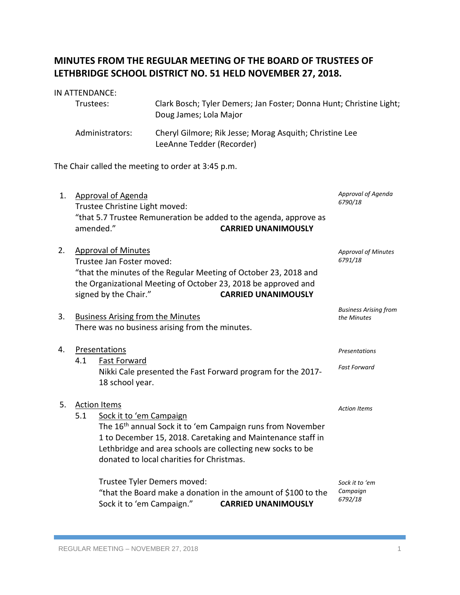# **MINUTES FROM THE REGULAR MEETING OF THE BOARD OF TRUSTEES OF LETHBRIDGE SCHOOL DISTRICT NO. 51 HELD NOVEMBER 27, 2018.**

### IN ATTENDANCE:

| Trustees:       | Clark Bosch; Tyler Demers; Jan Foster; Donna Hunt; Christine Light;<br>Doug James; Lola Major |
|-----------------|-----------------------------------------------------------------------------------------------|
| Administrators: | Cheryl Gilmore; Rik Jesse; Morag Asquith; Christine Lee<br>LeeAnne Tedder (Recorder)          |

The Chair called the meeting to order at 3:45 p.m.

| 1. | <b>Approval of Agenda</b><br>Trustee Christine Light moved:                                                                                                                                                                                                                                                                  | Approval of Agenda<br>6790/18               |
|----|------------------------------------------------------------------------------------------------------------------------------------------------------------------------------------------------------------------------------------------------------------------------------------------------------------------------------|---------------------------------------------|
|    | "that 5.7 Trustee Remuneration be added to the agenda, approve as<br>amended."<br><b>CARRIED UNANIMOUSLY</b>                                                                                                                                                                                                                 |                                             |
| 2. | <b>Approval of Minutes</b><br>Trustee Jan Foster moved:<br>"that the minutes of the Regular Meeting of October 23, 2018 and<br>the Organizational Meeting of October 23, 2018 be approved and<br>signed by the Chair."<br><b>CARRIED UNANIMOUSLY</b>                                                                         | <b>Approval of Minutes</b><br>6791/18       |
| 3. | <b>Business Arising from the Minutes</b><br>There was no business arising from the minutes.                                                                                                                                                                                                                                  | <b>Business Arising from</b><br>the Minutes |
| 4. | Presentations<br>4.1<br><b>Fast Forward</b><br>Nikki Cale presented the Fast Forward program for the 2017-                                                                                                                                                                                                                   | Presentations<br><b>Fast Forward</b>        |
| 5. | 18 school year.<br><b>Action Items</b><br>5.1<br>Sock it to 'em Campaign<br>The 16 <sup>th</sup> annual Sock it to 'em Campaign runs from November<br>1 to December 15, 2018. Caretaking and Maintenance staff in<br>Lethbridge and area schools are collecting new socks to be<br>donated to local charities for Christmas. | <b>Action Items</b>                         |
|    | Trustee Tyler Demers moved:<br>"that the Board make a donation in the amount of \$100 to the<br>Sock it to 'em Campaign."<br><b>CARRIED UNANIMOUSLY</b>                                                                                                                                                                      | Sock it to 'em<br>Campaign<br>6792/18       |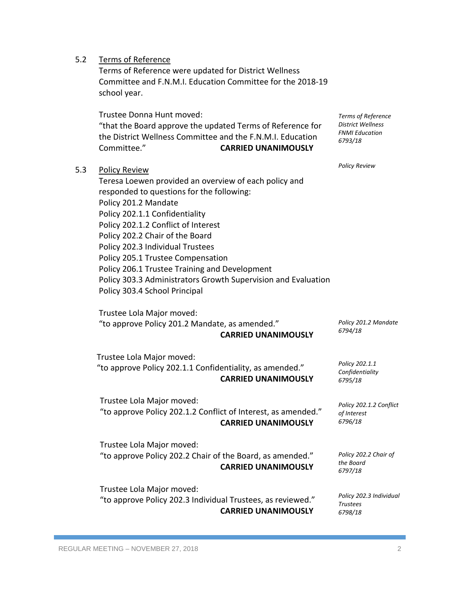| 5.2 | <b>Terms of Reference</b><br>Terms of Reference were updated for District Wellness<br>Committee and F.N.M.I. Education Committee for the 2018-19<br>school year.                                                                                                                                                                                                                                                                                                                           |                                                                                    |
|-----|--------------------------------------------------------------------------------------------------------------------------------------------------------------------------------------------------------------------------------------------------------------------------------------------------------------------------------------------------------------------------------------------------------------------------------------------------------------------------------------------|------------------------------------------------------------------------------------|
|     | Trustee Donna Hunt moved:<br>"that the Board approve the updated Terms of Reference for<br>the District Wellness Committee and the F.N.M.I. Education<br>Committee."<br><b>CARRIED UNANIMOUSLY</b>                                                                                                                                                                                                                                                                                         | Terms of Reference<br><b>District Wellness</b><br><b>FNMI Education</b><br>6793/18 |
| 5.3 | <b>Policy Review</b><br>Teresa Loewen provided an overview of each policy and<br>responded to questions for the following:<br>Policy 201.2 Mandate<br>Policy 202.1.1 Confidentiality<br>Policy 202.1.2 Conflict of Interest<br>Policy 202.2 Chair of the Board<br>Policy 202.3 Individual Trustees<br>Policy 205.1 Trustee Compensation<br>Policy 206.1 Trustee Training and Development<br>Policy 303.3 Administrators Growth Supervision and Evaluation<br>Policy 303.4 School Principal | <b>Policy Review</b>                                                               |
|     | Trustee Lola Major moved:<br>"to approve Policy 201.2 Mandate, as amended."<br><b>CARRIED UNANIMOUSLY</b>                                                                                                                                                                                                                                                                                                                                                                                  | Policy 201.2 Mandate<br>6794/18                                                    |
|     | Trustee Lola Major moved:<br>"to approve Policy 202.1.1 Confidentiality, as amended."<br><b>CARRIED UNANIMOUSLY</b>                                                                                                                                                                                                                                                                                                                                                                        | Policy 202.1.1<br>Confidentiality<br>6795/18                                       |
|     | Trustee Lola Major moved:<br>"to approve Policy 202.1.2 Conflict of Interest, as amended."<br><b>CARRIED UNANIMOUSLY</b>                                                                                                                                                                                                                                                                                                                                                                   | Policy 202.1.2 Conflict<br>of Interest<br>6796/18                                  |
|     | Trustee Lola Major moved:<br>"to approve Policy 202.2 Chair of the Board, as amended."<br><b>CARRIED UNANIMOUSLY</b>                                                                                                                                                                                                                                                                                                                                                                       | Policy 202.2 Chair of<br>the Board<br>6797/18                                      |
|     | Trustee Lola Major moved:<br>"to approve Policy 202.3 Individual Trustees, as reviewed."<br><b>CARRIED UNANIMOUSLY</b>                                                                                                                                                                                                                                                                                                                                                                     | Policy 202.3 Individual<br><b>Trustees</b><br>6798/18                              |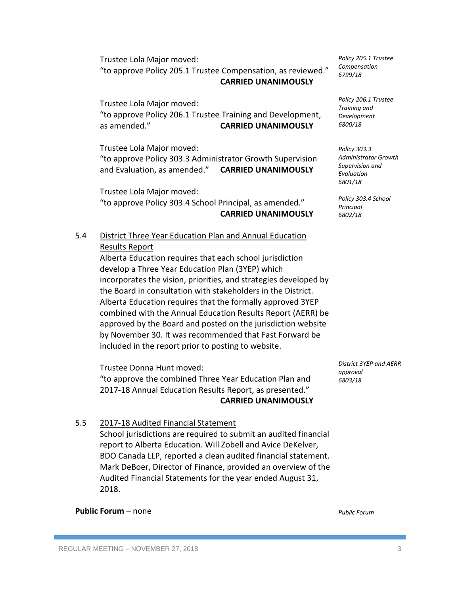Trustee Lola Major moved: "to approve Policy 205.1 Trustee Compensation, as reviewed." **CARRIED UNANIMOUSLY**

Trustee Lola Major moved: "to approve Policy 206.1 Trustee Training and Development, as amended." **CARRIED UNANIMOUSLY**

Trustee Lola Major moved: "to approve Policy 303.3 Administrator Growth Supervision and Evaluation, as amended." **CARRIED UNANIMOUSLY**

Trustee Lola Major moved: "to approve Policy 303.4 School Principal, as amended." **CARRIED UNANIMOUSLY**

# 5.4 District Three Year Education Plan and Annual Education Results Report

Alberta Education requires that each school jurisdiction develop a Three Year Education Plan (3YEP) which incorporates the vision, priorities, and strategies developed by the Board in consultation with stakeholders in the District. Alberta Education requires that the formally approved 3YEP combined with the Annual Education Results Report (AERR) be approved by the Board and posted on the jurisdiction website by November 30. It was recommended that Fast Forward be included in the report prior to posting to website.

Trustee Donna Hunt moved: "to approve the combined Three Year Education Plan and 2017-18 Annual Education Results Report, as presented." **CARRIED UNANIMOUSLY** *District 3YEP and AERR approval 6803/18*

# 5.5 2017-18 Audited Financial Statement

School jurisdictions are required to submit an audited financial report to Alberta Education. Will Zobell and Avice DeKelver, BDO Canada LLP, reported a clean audited financial statement. Mark DeBoer, Director of Finance, provided an overview of the Audited Financial Statements for the year ended August 31, 2018.

#### **Public Forum – none**

*Public Forum*

REGULAR MEETING – NOVEMBER 27, 2018 39 (2018) 2018

*Policy 205.1 Trustee Compensation 6799/18*

*Policy 206.1 Trustee Training and Development 6800/18*

*Policy 303.3 Administrator Growth Supervision and Evaluation 6801/18*

*Policy 303.4 School Principal 6802/18*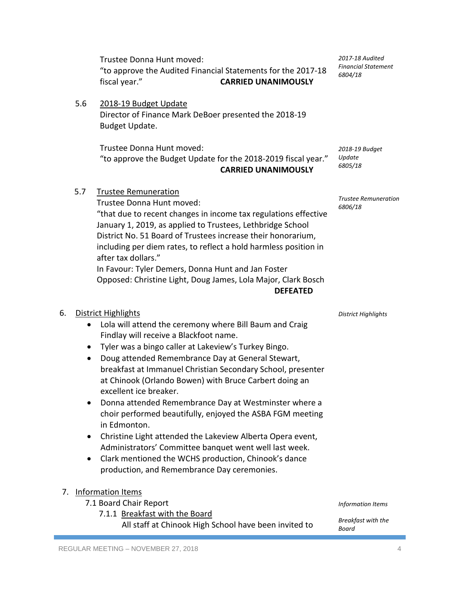Trustee Donna Hunt moved: "to approve the Audited Financial Statements for the 2017-18 fiscal year." **CARRIED UNANIMOUSLY**

5.6 2018-19 Budget Update Director of Finance Mark DeBoer presented the 2018-19 Budget Update.

> Trustee Donna Hunt moved: "to approve the Budget Update for the 2018-2019 fiscal year." **CARRIED UNANIMOUSLY**

5.7 Trustee Remuneration

Trustee Donna Hunt moved: "that due to recent changes in income tax regulations effective January 1, 2019, as applied to Trustees, Lethbridge School District No. 51 Board of Trustees increase their honorarium, including per diem rates, to reflect a hold harmless position in after tax dollars." In Favour: Tyler Demers, Donna Hunt and Jan Foster

Opposed: Christine Light, Doug James, Lola Major, Clark Bosch **DEFEATED**

## 6. District Highlights

- Lola will attend the ceremony where Bill Baum and Craig Findlay will receive a Blackfoot name.
- Tyler was a bingo caller at Lakeview's Turkey Bingo.
- Doug attended Remembrance Day at General Stewart, breakfast at Immanuel Christian Secondary School, presenter at Chinook (Orlando Bowen) with Bruce Carbert doing an excellent ice breaker.
- Donna attended Remembrance Day at Westminster where a choir performed beautifully, enjoyed the ASBA FGM meeting in Edmonton.
- Christine Light attended the Lakeview Alberta Opera event, Administrators' Committee banquet went well last week.
- Clark mentioned the WCHS production, Chinook's dance production, and Remembrance Day ceremonies.

#### 7. Information Items

- 7.1 Board Chair Report
	- 7.1.1 Breakfast with the Board All staff at Chinook High School have been invited to *Breakfast with the Board*

*District Highlights*

*Information Items*

*2018-19 Budget Update 6805/18*

*Trustee Remuneration*

*6806/18*

*2017-18 Audited Financial Statement 6804/18*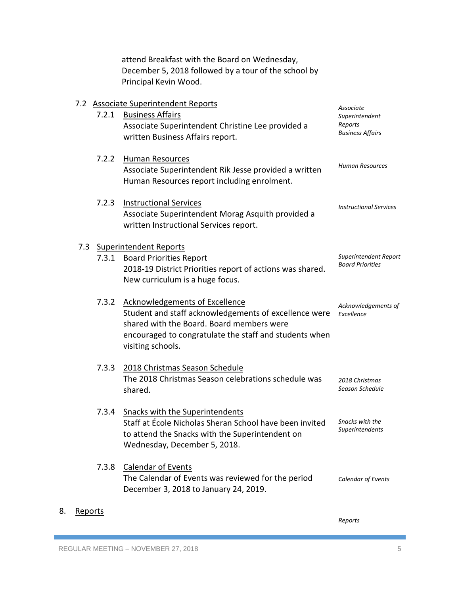attend Breakfast with the Board on Wednesday, December 5, 2018 followed by a tour of the school by Principal Kevin Wood.

|     |       | 7.2 Associate Superintendent Reports                                                                                                                                                                                       | Associate                                            |
|-----|-------|----------------------------------------------------------------------------------------------------------------------------------------------------------------------------------------------------------------------------|------------------------------------------------------|
|     | 7.2.1 | <b>Business Affairs</b><br>Associate Superintendent Christine Lee provided a<br>written Business Affairs report.                                                                                                           | Superintendent<br>Reports<br><b>Business Affairs</b> |
|     | 7.2.2 | <b>Human Resources</b><br>Associate Superintendent Rik Jesse provided a written<br>Human Resources report including enrolment.                                                                                             | <b>Human Resources</b>                               |
|     | 7.2.3 | <b>Instructional Services</b><br>Associate Superintendent Morag Asquith provided a<br>written Instructional Services report.                                                                                               | <b>Instructional Services</b>                        |
| 7.3 | 7.3.1 | <b>Superintendent Reports</b><br><b>Board Priorities Report</b><br>2018-19 District Priorities report of actions was shared.<br>New curriculum is a huge focus.                                                            | Superintendent Report<br><b>Board Priorities</b>     |
|     | 7.3.2 | <b>Acknowledgements of Excellence</b><br>Student and staff acknowledgements of excellence were<br>shared with the Board. Board members were<br>encouraged to congratulate the staff and students when<br>visiting schools. | Acknowledgements of<br>Excellence                    |
|     | 7.3.3 | 2018 Christmas Season Schedule<br>The 2018 Christmas Season celebrations schedule was<br>shared.                                                                                                                           | 2018 Christmas<br>Season Schedule                    |
|     | 7.3.4 | <b>Snacks with the Superintendents</b><br>Staff at École Nicholas Sheran School have been invited<br>to attend the Snacks with the Superintendent on<br>Wednesday, December 5, 2018.                                       | Snacks with the<br>Superintendents                   |
|     | 7.3.8 | <b>Calendar of Events</b><br>The Calendar of Events was reviewed for the period<br>December 3, 2018 to January 24, 2019.                                                                                                   | Calendar of Events                                   |

8. Reports

*Reports*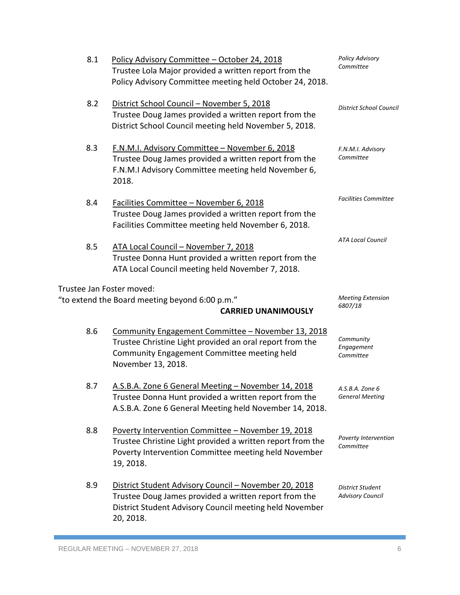| 8.1                       | Policy Advisory Committee - October 24, 2018<br>Trustee Lola Major provided a written report from the<br>Policy Advisory Committee meeting held October 24, 2018.                      | <b>Policy Advisory</b><br>Committee         |
|---------------------------|----------------------------------------------------------------------------------------------------------------------------------------------------------------------------------------|---------------------------------------------|
| 8.2                       | District School Council - November 5, 2018<br>Trustee Doug James provided a written report from the<br>District School Council meeting held November 5, 2018.                          | District School Council                     |
| 8.3                       | F.N.M.I. Advisory Committee - November 6, 2018<br>Trustee Doug James provided a written report from the<br>F.N.M.I Advisory Committee meeting held November 6,<br>2018.                | F.N.M.I. Advisory<br>Committee              |
| 8.4                       | Facilities Committee - November 6, 2018<br>Trustee Doug James provided a written report from the<br>Facilities Committee meeting held November 6, 2018.                                | <b>Facilities Committee</b>                 |
| 8.5                       | ATA Local Council - November 7, 2018<br>Trustee Donna Hunt provided a written report from the<br>ATA Local Council meeting held November 7, 2018.                                      | <b>ATA Local Council</b>                    |
| Trustee Jan Foster moved: |                                                                                                                                                                                        |                                             |
|                           | "to extend the Board meeting beyond 6:00 p.m."<br><b>CARRIED UNANIMOUSLY</b>                                                                                                           | <b>Meeting Extension</b><br>6807/18         |
| 8.6                       | Community Engagement Committee - November 13, 2018<br>Trustee Christine Light provided an oral report from the<br>Community Engagement Committee meeting held<br>November 13, 2018.    | Community<br>Engagement<br>Committee        |
| 8.7                       | A.S.B.A. Zone 6 General Meeting - November 14, 2018<br>Trustee Donna Hunt provided a written report from the<br>A.S.B.A. Zone 6 General Meeting held November 14, 2018.                | A.S.B.A. Zone 6<br><b>General Meeting</b>   |
| 8.8                       | Poverty Intervention Committee - November 19, 2018<br>Trustee Christine Light provided a written report from the<br>Poverty Intervention Committee meeting held November<br>19, 2018.  | Poverty Intervention<br>Committee           |
| 8.9                       | District Student Advisory Council - November 20, 2018<br>Trustee Doug James provided a written report from the<br>District Student Advisory Council meeting held November<br>20, 2018. | District Student<br><b>Advisory Council</b> |